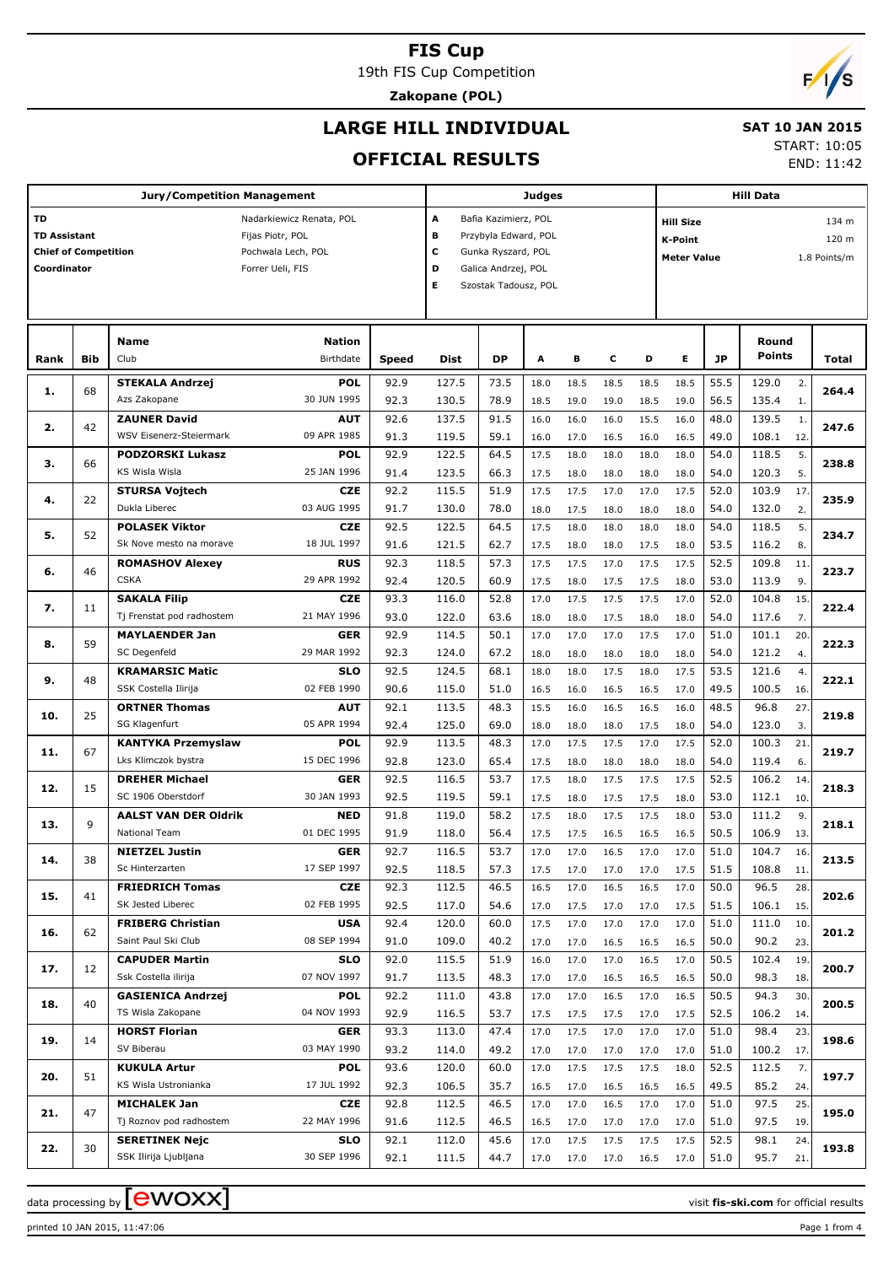19th FIS Cup Competition

**Zakopane (POL)**

## **LARGE HILL INDIVIDUAL**

# **SAT 10 JAN 2015**

### **OFFICIAL RESULTS**

START: 10:05

END: 11:42

|                             |     | <b>Jury/Competition Management</b>          |                           |              | Judges                                        |                      |              | <b>Hill Data</b> |              |                    |              |              |                |              |       |
|-----------------------------|-----|---------------------------------------------|---------------------------|--------------|-----------------------------------------------|----------------------|--------------|------------------|--------------|--------------------|--------------|--------------|----------------|--------------|-------|
| TD                          |     |                                             | Nadarkiewicz Renata, POL  |              | A<br>Bafia Kazimierz, POL<br><b>Hill Size</b> |                      |              |                  |              |                    |              |              |                |              | 134 m |
| <b>TD Assistant</b>         |     |                                             | Fijas Piotr, POL          |              | В                                             | Przybyla Edward, POL |              |                  |              |                    | K-Point      |              |                |              | 120 m |
| <b>Chief of Competition</b> |     |                                             | Pochwala Lech, POL        |              | c                                             | Gunka Ryszard, POL   |              |                  |              |                    |              |              |                |              |       |
| Coordinator                 |     | Forrer Ueli, FIS                            |                           | D            | Galica Andrzej, POL                           |                      |              |                  |              | <b>Meter Value</b> |              |              |                | 1.8 Points/m |       |
|                             |     |                                             |                           |              | E.                                            | Szostak Tadousz, POL |              |                  |              |                    |              |              |                |              |       |
|                             |     |                                             |                           |              |                                               |                      |              |                  |              |                    |              |              |                |              |       |
|                             |     |                                             |                           |              |                                               |                      |              |                  |              |                    |              |              |                |              |       |
|                             |     | <b>Name</b>                                 | <b>Nation</b>             |              |                                               |                      |              |                  |              |                    |              |              | Round          |              |       |
| Rank                        | Bib | Club                                        | Birthdate                 | Speed        | <b>Dist</b>                                   | <b>DP</b>            | A            | в                | C            | D                  | Е            | <b>JP</b>    | Points         |              | Total |
|                             |     | <b>STEKALA Andrzej</b>                      | <b>POL</b>                | 92.9         | 127.5                                         | 73.5                 | 18.0         | 18.5             | 18.5         | 18.5               | 18.5         | 55.5         | 129.0          | 2.           |       |
| 1.                          | 68  | Azs Zakopane                                | 30 JUN 1995               | 92.3         | 130.5                                         | 78.9                 | 18.5         | 19.0             | 19.0         | 18.5               | 19.0         | 56.5         | 135.4          | 1.           | 264.4 |
|                             |     | <b>ZAUNER David</b>                         | <b>AUT</b>                | 92.6         | 137.5                                         | 91.5                 | 16.0         | 16.0             | 16.0         | 15.5               | 16.0         | 48.0         | 139.5          | 1.           |       |
| 2.                          | 42  | WSV Eisenerz-Steiermark                     | 09 APR 1985               | 91.3         | 119.5                                         | 59.1                 | 16.0         | 17.0             | 16.5         | 16.0               | 16.5         | 49.0         | 108.1          | 12.          | 247.6 |
|                             |     | <b>PODZORSKI Lukasz</b>                     | POL                       | 92.9         | 122.5                                         | 64.5                 | 17.5         | 18.0             | 18.0         | 18.0               | 18.0         | 54.0         | 118.5          | 5.           |       |
| з.                          | 66  | KS Wisla Wisla                              | 25 JAN 1996               | 91.4         | 123.5                                         | 66.3                 | 17.5         | 18.0             | 18.0         | 18.0               | 18.0         | 54.0         | 120.3          | 5.           | 238.8 |
|                             |     | <b>STURSA Vojtech</b>                       | <b>CZE</b>                | 92.2         | 115.5                                         | 51.9                 | 17.5         | 17.5             | 17.0         | 17.0               | 17.5         | 52.0         | 103.9          | 17.          |       |
| 4.                          | 22  | Dukla Liberec                               | 03 AUG 1995               | 91.7         | 130.0                                         | 78.0                 | 18.0         | 17.5             | 18.0         | 18.0               | 18.0         | 54.0         | 132.0          | 2.           | 235.9 |
|                             |     | <b>POLASEK Viktor</b>                       | <b>CZE</b>                | 92.5         | 122.5                                         | 64.5                 | 17.5         | 18.0             | 18.0         | 18.0               | 18.0         | 54.0         | 118.5          | 5.           |       |
| 5.                          | 52  | Sk Nove mesto na morave                     | 18 JUL 1997               | 91.6         | 121.5                                         | 62.7                 | 17.5         | 18.0             | 18.0         | 17.5               | 18.0         | 53.5         | 116.2          | 8.           | 234.7 |
| 6.                          | 46  | <b>ROMASHOV Alexey</b>                      | <b>RUS</b>                | 92.3         | 118.5                                         | 57.3                 | 17.5         | 17.5             | 17.0         | 17.5               | 17.5         | 52.5         | 109.8          | 11.          | 223.7 |
|                             |     | <b>CSKA</b>                                 | 29 APR 1992               | 92.4         | 120.5                                         | 60.9                 | 17.5         | 18.0             | 17.5         | 17.5               | 18.0         | 53.0         | 113.9          | 9.           |       |
| 7.                          | 11  | <b>SAKALA Filip</b>                         | <b>CZE</b>                | 93.3         | 116.0                                         | 52.8                 | 17.0         | 17.5             | 17.5         | 17.5               | 17.0         | 52.0         | 104.8          | 15.          | 222.4 |
|                             |     | Tj Frenstat pod radhostem                   | 21 MAY 1996               | 93.0         | 122.0                                         | 63.6                 | 18.0         | 18.0             | 17.5         | 18.0               | 18.0         | 54.0         | 117.6          | 7.           |       |
| 8.                          | 59  | <b>MAYLAENDER Jan</b>                       | <b>GER</b>                | 92.9         | 114.5                                         | 50.1                 | 17.0         | 17.0             | 17.0         | 17.5               | 17.0         | 51.0         | 101.1          | 20.          | 222.3 |
|                             |     | SC Degenfeld                                | 29 MAR 1992               | 92.3         | 124.0                                         | 67.2                 | 18.0         | 18.0             | 18.0         | 18.0               | 18.0         | 54.0         | 121.2          | 4.           |       |
| 9.                          | 48  | <b>KRAMARSIC Matic</b>                      | SLO                       | 92.5         | 124.5                                         | 68.1                 | 18.0         | 18.0             | 17.5         | 18.0               | 17.5         | 53.5         | 121.6          | 4.           | 222.1 |
|                             |     | SSK Costella Ilirija                        | 02 FEB 1990               | 90.6         | 115.0                                         | 51.0                 | 16.5         | 16.0             | 16.5         | 16.5               | 17.0         | 49.5         | 100.5          | 16.          |       |
| 10.                         | 25  | <b>ORTNER Thomas</b>                        | <b>AUT</b>                | 92.1         | 113.5                                         | 48.3                 | 15.5         | 16.0             | 16.5         | 16.5               | 16.0         | 48.5         | 96.8           | 27.          | 219.8 |
|                             |     | SG Klagenfurt                               | 05 APR 1994               | 92.4         | 125.0                                         | 69.0                 | 18.0         | 18.0             | 18.0         | 17.5               | 18.0         | 54.0         | 123.0          | 3.           |       |
| 11.                         | 67  | <b>KANTYKA Przemyslaw</b>                   | POL                       | 92.9         | 113.5                                         | 48.3                 | 17.0         | 17.5             | 17.5         | 17.0               | 17.5         | 52.0         | 100.3          | 21.          | 219.7 |
|                             |     | Lks Klimczok bystra                         | 15 DEC 1996               | 92.8         | 123.0                                         | 65.4                 | 17.5         | 18.0             | 18.0         | 18.0               | 18.0         | 54.0         | 119.4          | 6.           |       |
| 12.                         | 15  | <b>DREHER Michael</b><br>SC 1906 Oberstdorf | <b>GER</b><br>30 JAN 1993 | 92.5<br>92.5 | 116.5                                         | 53.7                 | 17.5         | 18.0             | 17.5         | 17.5               | 17.5         | 52.5         | 106.2          | 14.          | 218.3 |
|                             |     | <b>AALST VAN DER Oldrik</b>                 | <b>NED</b>                | 91.8         | 119.5<br>119.0                                | 59.1<br>58.2         | 17.5         | 18.0             | 17.5         | 17.5               | 18.0         | 53.0<br>53.0 | 112.1<br>111.2 | 10.          |       |
| 13.                         | 9   | <b>National Team</b>                        | 01 DEC 1995               | 91.9         | 118.0                                         | 56.4                 | 17.5<br>17.5 | 18.0<br>17.5     | 17.5<br>16.5 | 17.5<br>16.5       | 18.0<br>16.5 | 50.5         | 106.9          | 9.<br>13.    | 218.1 |
|                             |     | <b>NIETZEL Justin</b>                       | <b>GER</b>                | 92.7         | 116.5                                         | 53.7                 | 17.0         | 17.0             | 16.5         | 17.0               | 17.0         | 51.0         | 104.7          | 16.          |       |
| 14.                         | 38  | Sc Hinterzarten                             | 17 SEP 1997               | 92.5         | 118.5                                         | 57.3                 | 17.5         | 17.0             | 17.0         | 17.0               | 17.5         | 51.5         | 108.8          | 11.          | 213.5 |
|                             |     | <b>FRIEDRICH Tomas</b>                      | CZE                       | 92.3         | 112.5                                         | 46.5                 | 16.5         | 17.0             | 16.5         | 16.5               | 17.0         | 50.0         | 96.5           | 28.          |       |
| 15.                         | 41  | SK Jested Liberec                           | 02 FEB 1995               | 92.5         | 117.0                                         | 54.6                 | 17.0         | 17.5             | 17.0         | 17.0               | 17.5         | 51.5         | 106.1          | 15.          | 202.6 |
|                             |     | <b>FRIBERG Christian</b>                    | <b>USA</b>                | 92.4         | 120.0                                         | 60.0                 | 17.5         | 17.0             | 17.0         | 17.0               | 17.0         | 51.0         | 111.0          | 10.          |       |
| 16.                         | 62  | Saint Paul Ski Club                         | 08 SEP 1994               | 91.0         | 109.0                                         | 40.2                 | 17.0         | 17.0             | 16.5         | 16.5               | 16.5         | 50.0         | 90.2           | 23.          | 201.2 |
|                             |     | <b>CAPUDER Martin</b>                       | SLO                       | 92.0         | 115.5                                         | 51.9                 | 16.0         | 17.0             | 17.0         | 16.5               | 17.0         | 50.5         | 102.4          | 19.          |       |
| 17.                         | 12  | Ssk Costella ilirija                        | 07 NOV 1997               | 91.7         | 113.5                                         | 48.3                 | 17.0         | 17.0             | 16.5         | 16.5               | 16.5         | 50.0         | 98.3           | 18.          | 200.7 |
|                             |     | <b>GASIENICA Andrzej</b>                    | <b>POL</b>                | 92.2         | 111.0                                         | 43.8                 | 17.0         | 17.0             | 16.5         | 17.0               | 16.5         | 50.5         | 94.3           | 30.          |       |
| 18.                         | 40  | TS Wisla Zakopane                           | 04 NOV 1993               | 92.9         | 116.5                                         | 53.7                 | 17.5         | 17.5             | 17.5         | 17.0               | 17.5         | 52.5         | 106.2          | 14.          | 200.5 |
| 19.                         | 14  | <b>HORST Florian</b>                        | <b>GER</b>                | 93.3         | 113.0                                         | 47.4                 | 17.0         | 17.5             | 17.0         | 17.0               | 17.0         | 51.0         | 98.4           | 23.          | 198.6 |
|                             |     | SV Biberau                                  | 03 MAY 1990               | 93.2         | 114.0                                         | 49.2                 | 17.0         | 17.0             | 17.0         | 17.0               | 17.0         | 51.0         | 100.2          | 17.          |       |
| 20.                         | 51  | <b>KUKULA Artur</b>                         | POL                       | 93.6         | 120.0                                         | 60.0                 | 17.0         | 17.5             | 17.5         | 17.5               | 18.0         | 52.5         | 112.5          | 7.           | 197.7 |
|                             |     | KS Wisla Ustronianka                        | 17 JUL 1992               | 92.3         | 106.5                                         | 35.7                 | 16.5         | 17.0             | 16.5         | 16.5               | 16.5         | 49.5         | 85.2           | 24.          |       |
| 21.                         | 47  | <b>MICHALEK Jan</b>                         | CZE                       | 92.8         | 112.5                                         | 46.5                 | 17.0         | 17.0             | 16.5         | 17.0               | 17.0         | 51.0         | 97.5           | 25.          | 195.0 |
|                             |     | Tj Roznov pod radhostem                     | 22 MAY 1996               | 91.6         | 112.5                                         | 46.5                 | 16.5         | 17.0             | 17.0         | 17.0               | 17.0         | 51.0         | 97.5           | 19.          |       |
| 22.                         | 30  | <b>SERETINEK Nejc</b>                       | SLO                       | 92.1         | 112.0                                         | 45.6                 | 17.0         | 17.5             | 17.5         | 17.5               | 17.5         | 52.5         | 98.1           | 24.          | 193.8 |
|                             |     | SSK Ilirija Ljubljana                       | 30 SEP 1996               | 92.1         | 111.5                                         | 44.7                 | 17.0         | 17.0             | 17.0         | 16.5               | 17.0         | 51.0         | 95.7           | 21.          |       |

printed 10 JAN 2015, 11:47:06 Page 1 from 4

data processing by **CWOXX** and  $\overline{C}$  and  $\overline{C}$  and  $\overline{C}$  and  $\overline{C}$  and  $\overline{C}$  and  $\overline{C}$  and  $\overline{C}$  and  $\overline{C}$  and  $\overline{C}$  and  $\overline{C}$  and  $\overline{C}$  and  $\overline{C}$  and  $\overline{C}$  and  $\overline{C}$  and  $\overline{C}$ 



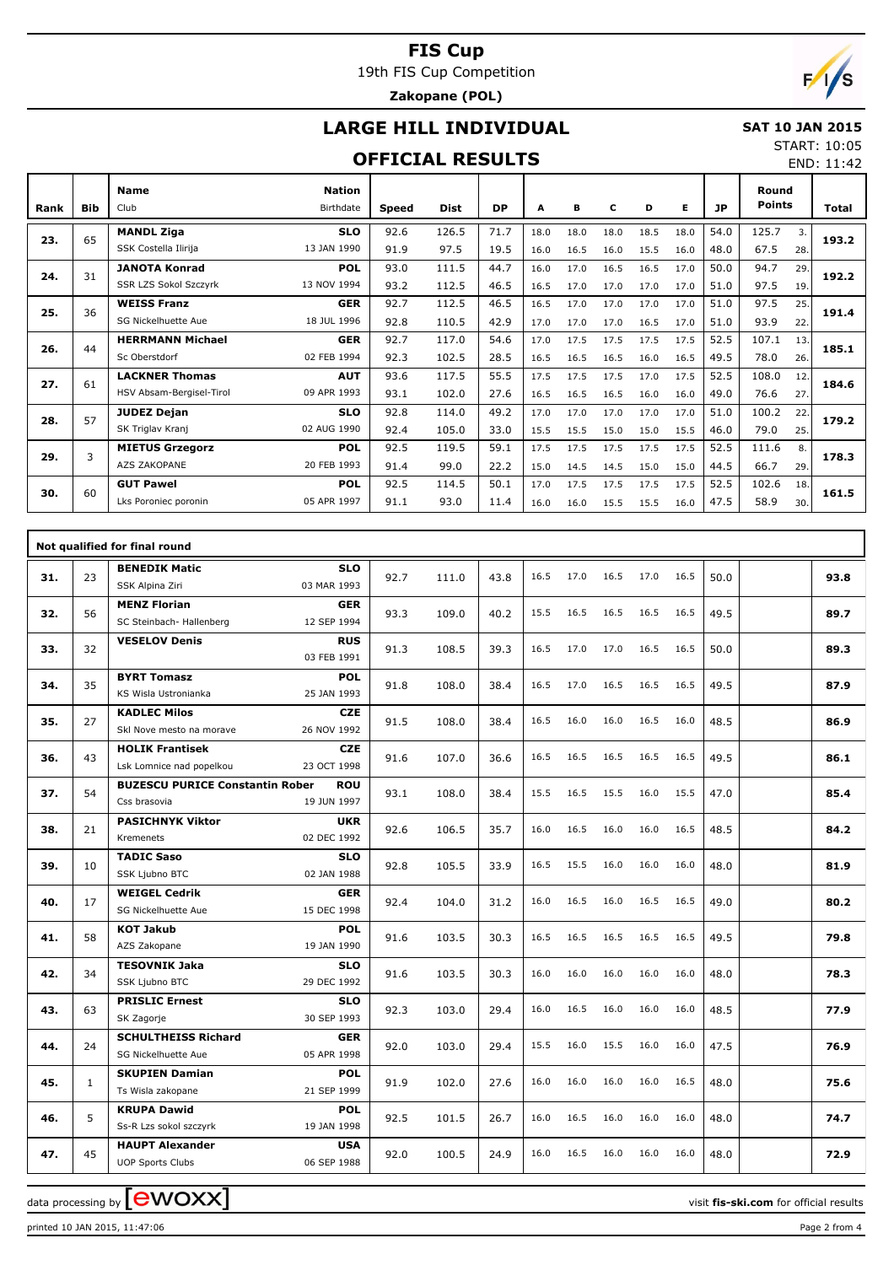19th FIS Cup Competition

**Zakopane (POL)**

## **LARGE HILL INDIVIDUAL**

#### **SAT 10 JAN 2015** START: 10:05

#### **OFFICIAL RESULTS**

END: 11:42

| Rank | <b>Bib</b> | Name<br>Club             | <b>Nation</b><br>Birthdate | <b>Speed</b> | Dist  | DP   | A    | В    | C    | D    | Е    | JP   | Round<br><b>Points</b> |     | <b>Total</b> |
|------|------------|--------------------------|----------------------------|--------------|-------|------|------|------|------|------|------|------|------------------------|-----|--------------|
|      | 65         | <b>MANDL Ziga</b>        | <b>SLO</b>                 | 92.6         | 126.5 | 71.7 | 18.0 | 18.0 | 18.0 | 18.5 | 18.0 | 54.0 | 125.7                  | 3.  | 193.2        |
| 23.  |            | SSK Costella Ilirija     | 13 JAN 1990                | 91.9         | 97.5  | 19.5 | 16.0 | 16.5 | 16.0 | 15.5 | 16.0 | 48.0 | 67.5                   | 28. |              |
| 24.  | 31         | <b>JANOTA Konrad</b>     | <b>POL</b>                 | 93.0         | 111.5 | 44.7 | 16.0 | 17.0 | 16.5 | 16.5 | 17.0 | 50.0 | 94.7                   | 29. | 192.2        |
|      |            | SSR LZS Sokol Szczyrk    | 13 NOV 1994                | 93.2         | 112.5 | 46.5 | 16.5 | 17.0 | 17.0 | 17.0 | 17.0 | 51.0 | 97.5                   | 19. |              |
| 25.  | 36         | <b>WEISS Franz</b>       | <b>GER</b>                 | 92.7         | 112.5 | 46.5 | 16.5 | 17.0 | 17.0 | 17.0 | 17.0 | 51.0 | 97.5                   | 25. | 191.4        |
|      |            | SG Nickelhuette Aue      | 18 JUL 1996                | 92.8         | 110.5 | 42.9 | 17.0 | 17.0 | 17.0 | 16.5 | 17.0 | 51.0 | 93.9                   | 22. |              |
| 26.  | 44         | <b>HERRMANN Michael</b>  | <b>GER</b>                 | 92.7         | 117.0 | 54.6 | 17.0 | 17.5 | 17.5 | 17.5 | 17.5 | 52.5 | 107.1                  | 13. | 185.1        |
|      |            | Sc Oberstdorf            | 02 FEB 1994                | 92.3         | 102.5 | 28.5 | 16.5 | 16.5 | 16.5 | 16.0 | 16.5 | 49.5 | 78.0                   | 26. |              |
| 27.  | 61         | <b>LACKNER Thomas</b>    | <b>AUT</b>                 | 93.6         | 117.5 | 55.5 | 17.5 | 17.5 | 17.5 | 17.0 | 17.5 | 52.5 | 108.0                  | 12. | 184.6        |
|      |            | HSV Absam-Bergisel-Tirol | 09 APR 1993                | 93.1         | 102.0 | 27.6 | 16.5 | 16.5 | 16.5 | 16.0 | 16.0 | 49.0 | 76.6                   | 27. |              |
| 28.  | 57         | <b>JUDEZ Dejan</b>       | <b>SLO</b>                 | 92.8         | 114.0 | 49.2 | 17.0 | 17.0 | 17.0 | 17.0 | 17.0 | 51.0 | 100.2                  | 22. | 179.2        |
|      |            | SK Triglav Kranj         | 02 AUG 1990                | 92.4         | 105.0 | 33.0 | 15.5 | 15.5 | 15.0 | 15.0 | 15.5 | 46.0 | 79.0                   | 25. |              |
| 29.  | 3          | <b>MIETUS Grzegorz</b>   | <b>POL</b>                 | 92.5         | 119.5 | 59.1 | 17.5 | 17.5 | 17.5 | 17.5 | 17.5 | 52.5 | 111.6                  | 8.  | 178.3        |
|      |            | <b>AZS ZAKOPANE</b>      | 20 FEB 1993                | 91.4         | 99.0  | 22.2 | 15.0 | 14.5 | 14.5 | 15.0 | 15.0 | 44.5 | 66.7                   | 29. |              |
| 30.  | 60         | <b>GUT Pawel</b>         | <b>POL</b>                 | 92.5         | 114.5 | 50.1 | 17.0 | 17.5 | 17.5 | 17.5 | 17.5 | 52.5 | 102.6                  | 18. | 161.5        |
|      |            | Lks Poroniec poronin     | 05 APR 1997                | 91.1         | 93.0  | 11.4 | 16.0 | 16.0 | 15.5 | 15.5 | 16.0 | 47.5 | 58.9                   | 30. |              |

|     |              | Not qualified for final round                          |                           |      |       |      |      |      |      |      |      |      |      |
|-----|--------------|--------------------------------------------------------|---------------------------|------|-------|------|------|------|------|------|------|------|------|
| 31. | 23           | <b>BENEDIK Matic</b><br>SSK Alpina Ziri                | <b>SLO</b><br>03 MAR 1993 | 92.7 | 111.0 | 43.8 | 16.5 | 17.0 | 16.5 | 17.0 | 16.5 | 50.0 | 93.8 |
| 32. | 56           | <b>MENZ Florian</b><br>SC Steinbach- Hallenberg        | <b>GER</b><br>12 SEP 1994 | 93.3 | 109.0 | 40.2 | 15.5 | 16.5 | 16.5 | 16.5 | 16.5 | 49.5 | 89.7 |
| 33. | 32           | <b>VESELOV Denis</b>                                   | <b>RUS</b><br>03 FEB 1991 | 91.3 | 108.5 | 39.3 | 16.5 | 17.0 | 17.0 | 16.5 | 16.5 | 50.0 | 89.3 |
| 34. | 35           | <b>BYRT Tomasz</b><br>KS Wisla Ustronianka             | <b>POL</b><br>25 JAN 1993 | 91.8 | 108.0 | 38.4 | 16.5 | 17.0 | 16.5 | 16.5 | 16.5 | 49.5 | 87.9 |
| 35. | 27           | <b>KADLEC Milos</b><br>Skl Nove mesto na morave        | <b>CZE</b><br>26 NOV 1992 | 91.5 | 108.0 | 38.4 | 16.5 | 16.0 | 16.0 | 16.5 | 16.0 | 48.5 | 86.9 |
| 36. | 43           | <b>HOLIK Frantisek</b><br>Lsk Lomnice nad popelkou     | <b>CZE</b><br>23 OCT 1998 | 91.6 | 107.0 | 36.6 | 16.5 | 16.5 | 16.5 | 16.5 | 16.5 | 49.5 | 86.1 |
| 37. | 54           | <b>BUZESCU PURICE Constantin Rober</b><br>Css brasovia | <b>ROU</b><br>19 JUN 1997 | 93.1 | 108.0 | 38.4 | 15.5 | 16.5 | 15.5 | 16.0 | 15.5 | 47.0 | 85.4 |
| 38. | 21           | <b>PASICHNYK Viktor</b><br>Kremenets                   | <b>UKR</b><br>02 DEC 1992 | 92.6 | 106.5 | 35.7 | 16.0 | 16.5 | 16.0 | 16.0 | 16.5 | 48.5 | 84.2 |
| 39. | 10           | <b>TADIC Saso</b><br>SSK Ljubno BTC                    | <b>SLO</b><br>02 JAN 1988 | 92.8 | 105.5 | 33.9 | 16.5 | 15.5 | 16.0 | 16.0 | 16.0 | 48.0 | 81.9 |
| 40. | 17           | <b>WEIGEL Cedrik</b><br>SG Nickelhuette Aue            | <b>GER</b><br>15 DEC 1998 | 92.4 | 104.0 | 31.2 | 16.0 | 16.5 | 16.0 | 16.5 | 16.5 | 49.0 | 80.2 |
| 41. | 58           | <b>KOT Jakub</b><br>AZS Zakopane                       | <b>POL</b><br>19 JAN 1990 | 91.6 | 103.5 | 30.3 | 16.5 | 16.5 | 16.5 | 16.5 | 16.5 | 49.5 | 79.8 |
| 42. | 34           | <b>TESOVNIK Jaka</b><br>SSK Ljubno BTC                 | <b>SLO</b><br>29 DEC 1992 | 91.6 | 103.5 | 30.3 | 16.0 | 16.0 | 16.0 | 16.0 | 16.0 | 48.0 | 78.3 |
| 43. | 63           | <b>PRISLIC Ernest</b><br>SK Zagorje                    | <b>SLO</b><br>30 SEP 1993 | 92.3 | 103.0 | 29.4 | 16.0 | 16.5 | 16.0 | 16.0 | 16.0 | 48.5 | 77.9 |
| 44. | 24           | <b>SCHULTHEISS Richard</b><br>SG Nickelhuette Aue      | <b>GER</b><br>05 APR 1998 | 92.0 | 103.0 | 29.4 | 15.5 | 16.0 | 15.5 | 16.0 | 16.0 | 47.5 | 76.9 |
| 45. | $\mathbf{1}$ | <b>SKUPIEN Damian</b><br>Ts Wisla zakopane             | POL<br>21 SEP 1999        | 91.9 | 102.0 | 27.6 | 16.0 | 16.0 | 16.0 | 16.0 | 16.5 | 48.0 | 75.6 |
| 46. | 5            | <b>KRUPA Dawid</b><br>Ss-R Lzs sokol szczyrk           | <b>POL</b><br>19 JAN 1998 | 92.5 | 101.5 | 26.7 | 16.0 | 16.5 | 16.0 | 16.0 | 16.0 | 48.0 | 74.7 |
| 47. | 45           | <b>HAUPT Alexander</b><br><b>UOP Sports Clubs</b>      | <b>USA</b><br>06 SEP 1988 | 92.0 | 100.5 | 24.9 | 16.0 | 16.5 | 16.0 | 16.0 | 16.0 | 48.0 | 72.9 |

data processing by **CWOXX** and  $\overline{C}$  and  $\overline{C}$  and  $\overline{C}$  and  $\overline{C}$  and  $\overline{C}$  and  $\overline{C}$  and  $\overline{C}$  and  $\overline{C}$  and  $\overline{C}$  and  $\overline{C}$  and  $\overline{C}$  and  $\overline{C}$  and  $\overline{C}$  and  $\overline{C}$  and  $\overline{C}$ 

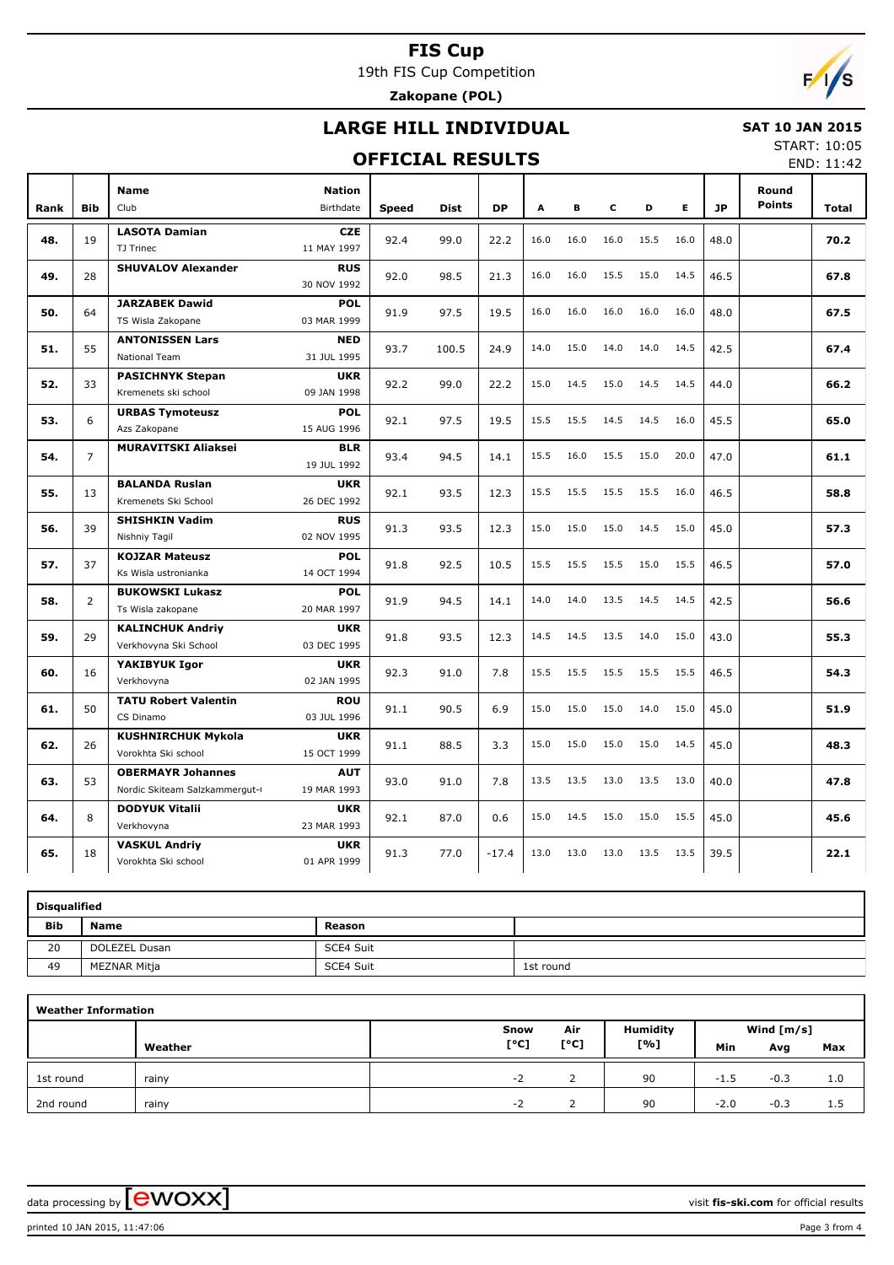19th FIS Cup Competition **Zakopane (POL)**



# **LARGE HILL INDIVIDUAL**

### **OFFICIAL RESULTS**

 **SAT 10 JAN 2015** START: 10:05

END: 11:42

|      |                |                                                            |                            |              |       |           |      |      |      |      |      |           |                        | ᄂᄓᄓᄼᇴᆠᆠᆠ |
|------|----------------|------------------------------------------------------------|----------------------------|--------------|-------|-----------|------|------|------|------|------|-----------|------------------------|----------|
| Rank | <b>Bib</b>     | <b>Name</b><br>Club                                        | <b>Nation</b><br>Birthdate | <b>Speed</b> | Dist  | <b>DP</b> | A    | В    | c    | D    | E.   | <b>JP</b> | Round<br><b>Points</b> | Total    |
| 48.  | 19             | <b>LASOTA Damian</b><br>TJ Trinec                          | <b>CZE</b><br>11 MAY 1997  | 92.4         | 99.0  | 22.2      | 16.0 | 16.0 | 16.0 | 15.5 | 16.0 | 48.0      |                        | 70.2     |
| 49.  | 28             | <b>SHUVALOV Alexander</b>                                  | <b>RUS</b><br>30 NOV 1992  | 92.0         | 98.5  | 21.3      | 16.0 | 16.0 | 15.5 | 15.0 | 14.5 | 46.5      |                        | 67.8     |
| 50.  | 64             | <b>JARZABEK Dawid</b><br>TS Wisla Zakopane                 | <b>POL</b><br>03 MAR 1999  | 91.9         | 97.5  | 19.5      | 16.0 | 16.0 | 16.0 | 16.0 | 16.0 | 48.0      |                        | 67.5     |
| 51.  | 55             | <b>ANTONISSEN Lars</b><br><b>National Team</b>             | <b>NED</b><br>31 JUL 1995  | 93.7         | 100.5 | 24.9      | 14.0 | 15.0 | 14.0 | 14.0 | 14.5 | 42.5      |                        | 67.4     |
| 52.  | 33             | <b>PASICHNYK Stepan</b><br>Kremenets ski school            | <b>UKR</b><br>09 JAN 1998  | 92.2         | 99.0  | 22.2      | 15.0 | 14.5 | 15.0 | 14.5 | 14.5 | 44.0      |                        | 66.2     |
| 53.  | 6              | <b>URBAS Tymoteusz</b><br>Azs Zakopane                     | <b>POL</b><br>15 AUG 1996  | 92.1         | 97.5  | 19.5      | 15.5 | 15.5 | 14.5 | 14.5 | 16.0 | 45.5      |                        | 65.0     |
| 54.  | $\overline{7}$ | <b>MURAVITSKI Aliaksei</b>                                 | <b>BLR</b><br>19 JUL 1992  | 93.4         | 94.5  | 14.1      | 15.5 | 16.0 | 15.5 | 15.0 | 20.0 | 47.0      |                        | 61.1     |
| 55.  | 13             | <b>BALANDA Ruslan</b><br>Kremenets Ski School              | <b>UKR</b><br>26 DEC 1992  | 92.1         | 93.5  | 12.3      | 15.5 | 15.5 | 15.5 | 15.5 | 16.0 | 46.5      |                        | 58.8     |
| 56.  | 39             | <b>SHISHKIN Vadim</b><br>Nishniy Tagil                     | <b>RUS</b><br>02 NOV 1995  | 91.3         | 93.5  | 12.3      | 15.0 | 15.0 | 15.0 | 14.5 | 15.0 | 45.0      |                        | 57.3     |
| 57.  | 37             | <b>KOJZAR Mateusz</b><br>Ks Wisla ustronianka              | <b>POL</b><br>14 OCT 1994  | 91.8         | 92.5  | 10.5      | 15.5 | 15.5 | 15.5 | 15.0 | 15.5 | 46.5      |                        | 57.0     |
| 58.  | $\overline{2}$ | <b>BUKOWSKI Lukasz</b><br>Ts Wisla zakopane                | <b>POL</b><br>20 MAR 1997  | 91.9         | 94.5  | 14.1      | 14.0 | 14.0 | 13.5 | 14.5 | 14.5 | 42.5      |                        | 56.6     |
| 59.  | 29             | <b>KALINCHUK Andriv</b><br>Verkhovyna Ski School           | <b>UKR</b><br>03 DEC 1995  | 91.8         | 93.5  | 12.3      | 14.5 | 14.5 | 13.5 | 14.0 | 15.0 | 43.0      |                        | 55.3     |
| 60.  | 16             | YAKIBYUK Igor<br>Verkhovyna                                | <b>UKR</b><br>02 JAN 1995  | 92.3         | 91.0  | 7.8       | 15.5 | 15.5 | 15.5 | 15.5 | 15.5 | 46.5      |                        | 54.3     |
| 61.  | 50             | <b>TATU Robert Valentin</b><br>CS Dinamo                   | <b>ROU</b><br>03 JUL 1996  | 91.1         | 90.5  | 6.9       | 15.0 | 15.0 | 15.0 | 14.0 | 15.0 | 45.0      |                        | 51.9     |
| 62.  | 26             | <b>KUSHNIRCHUK Mykola</b><br>Vorokhta Ski school           | <b>UKR</b><br>15 OCT 1999  | 91.1         | 88.5  | 3.3       | 15.0 | 15.0 | 15.0 | 15.0 | 14.5 | 45.0      |                        | 48.3     |
| 63.  | 53             | <b>OBERMAYR Johannes</b><br>Nordic Skiteam Salzkammergut-( | <b>AUT</b><br>19 MAR 1993  | 93.0         | 91.0  | 7.8       | 13.5 | 13.5 | 13.0 | 13.5 | 13.0 | 40.0      |                        | 47.8     |
| 64.  | 8              | <b>DODYUK Vitalii</b><br>Verkhovyna                        | <b>UKR</b><br>23 MAR 1993  | 92.1         | 87.0  | 0.6       | 15.0 | 14.5 | 15.0 | 15.0 | 15.5 | 45.0      |                        | 45.6     |
| 65.  | 18             | <b>VASKUL Andriy</b><br>Vorokhta Ski school                | <b>UKR</b><br>01 APR 1999  | 91.3         | 77.0  | $-17.4$   | 13.0 | 13.0 | 13.0 | 13.5 | 13.5 | 39.5      |                        | 22.1     |

| <b>Disqualified</b> |               |           |           |  |  |  |  |  |  |  |  |  |
|---------------------|---------------|-----------|-----------|--|--|--|--|--|--|--|--|--|
| <b>Bib</b>          | <b>Name</b>   | Reason    |           |  |  |  |  |  |  |  |  |  |
| 20                  | DOLEZEL Dusan | SCE4 Suit |           |  |  |  |  |  |  |  |  |  |
| 49                  | MEZNAR Mitja  | SCE4 Suit | 1st round |  |  |  |  |  |  |  |  |  |

| <b>Weather Information</b> |         |      |      |          |              |        |     |  |  |  |  |  |  |
|----------------------------|---------|------|------|----------|--------------|--------|-----|--|--|--|--|--|--|
|                            |         | Snow | Air  | Humidity | Wind $[m/s]$ |        |     |  |  |  |  |  |  |
|                            | Weather | [°C] | [°C] | [%]      | Min          | Avg    | Max |  |  |  |  |  |  |
| 1st round                  | rainy   | $-2$ |      | 90       | $-1.5$       | $-0.3$ | 1.0 |  |  |  |  |  |  |
| 2nd round                  | rainv   | $-2$ |      | 90       | $-2.0$       | $-0.3$ | 1.5 |  |  |  |  |  |  |

data processing by **CWOXX**  $\blacksquare$ 

printed 10 JAN 2015, 11:47:06 Page 3 from 4